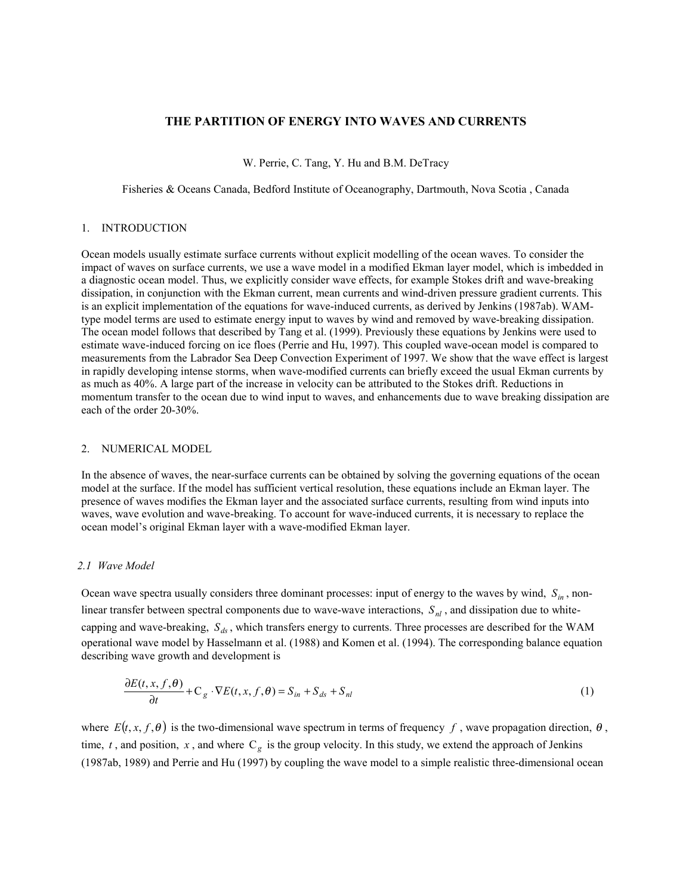# **THE PARTITION OF ENERGY INTO WAVES AND CURRENTS**

W. Perrie, C. Tang, Y. Hu and B.M. DeTracy

Fisheries & Oceans Canada, Bedford Institute of Oceanography, Dartmouth, Nova Scotia , Canada

#### 1. INTRODUCTION

Ocean models usually estimate surface currents without explicit modelling of the ocean waves. To consider the impact of waves on surface currents, we use a wave model in a modified Ekman layer model, which is imbedded in a diagnostic ocean model. Thus, we explicitly consider wave effects, for example Stokes drift and wave-breaking dissipation, in conjunction with the Ekman current, mean currents and wind-driven pressure gradient currents. This is an explicit implementation of the equations for wave-induced currents, as derived by Jenkins (1987ab). WAMtype model terms are used to estimate energy input to waves by wind and removed by wave-breaking dissipation. The ocean model follows that described by Tang et al. (1999). Previously these equations by Jenkins were used to estimate wave-induced forcing on ice floes (Perrie and Hu, 1997). This coupled wave-ocean model is compared to measurements from the Labrador Sea Deep Convection Experiment of 1997. We show that the wave effect is largest in rapidly developing intense storms, when wave-modified currents can briefly exceed the usual Ekman currents by as much as 40%. A large part of the increase in velocity can be attributed to the Stokes drift. Reductions in momentum transfer to the ocean due to wind input to waves, and enhancements due to wave breaking dissipation are each of the order 20-30%.

### 2. NUMERICAL MODEL

In the absence of waves, the near-surface currents can be obtained by solving the governing equations of the ocean model at the surface. If the model has sufficient vertical resolution, these equations include an Ekman layer. The presence of waves modifies the Ekman layer and the associated surface currents, resulting from wind inputs into waves, wave evolution and wave-breaking. To account for wave-induced currents, it is necessary to replace the ocean model's original Ekman layer with a wave-modified Ekman layer.

# *2.1 Wave Model*

Ocean wave spectra usually considers three dominant processes: input of energy to the waves by wind,  $S_{in}$ , nonlinear transfer between spectral components due to wave-wave interactions,  $S_{nl}$ , and dissipation due to whitecapping and wave-breaking,  $S_{ds}$ , which transfers energy to currents. Three processes are described for the WAM operational wave model by Hasselmann et al. (1988) and Komen et al. (1994). The corresponding balance equation describing wave growth and development is

$$
\frac{\partial E(t, x, f, \theta)}{\partial t} + C_g \cdot \nabla E(t, x, f, \theta) = S_{in} + S_{ds} + S_{nl}
$$
\n(1)

where  $E(t, x, f, \theta)$  is the two-dimensional wave spectrum in terms of frequency f, wave propagation direction,  $\theta$ , time,  $t$ , and position,  $x$ , and where  $C_g$  is the group velocity. In this study, we extend the approach of Jenkins (1987ab, 1989) and Perrie and Hu (1997) by coupling the wave model to a simple realistic three-dimensional ocean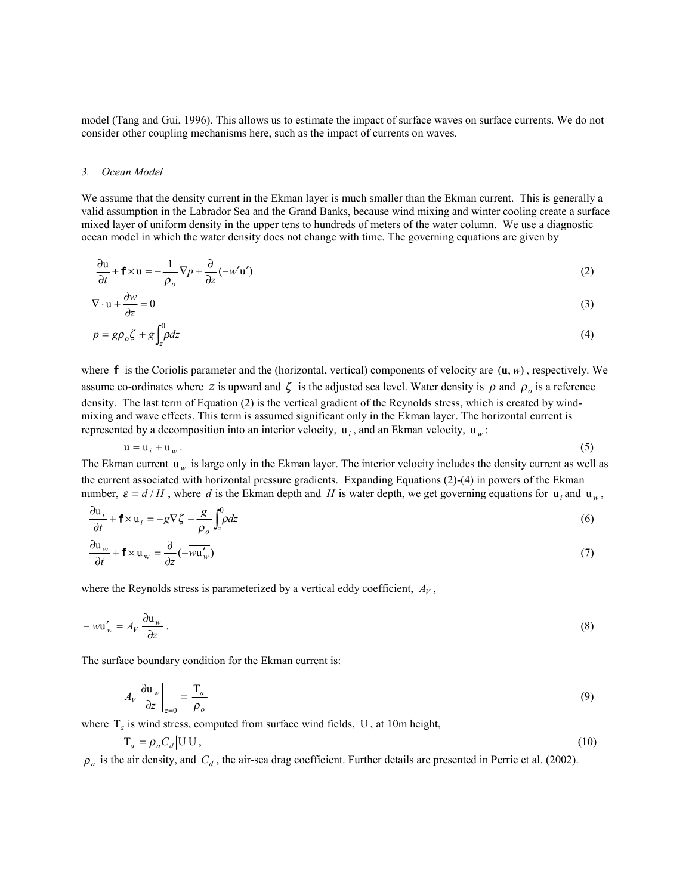model (Tang and Gui, 1996). This allows us to estimate the impact of surface waves on surface currents. We do not consider other coupling mechanisms here, such as the impact of currents on waves.

#### *3. Ocean Model*

We assume that the density current in the Ekman layer is much smaller than the Ekman current. This is generally a valid assumption in the Labrador Sea and the Grand Banks, because wind mixing and winter cooling create a surface mixed layer of uniform density in the upper tens to hundreds of meters of the water column. We use a diagnostic ocean model in which the water density does not change with time. The governing equations are given by

$$
\frac{\partial u}{\partial t} + \mathbf{f} \times u = -\frac{1}{\rho_o} \nabla p + \frac{\partial}{\partial z} (-\overline{w'u'})
$$
\n(2)

$$
\nabla \cdot \mathbf{u} + \frac{\partial w}{\partial z} = 0 \tag{3}
$$

$$
p = g\rho_o \zeta + g \int_z^0 \rho dz \tag{4}
$$

where  $\bf{f}$  is the Coriolis parameter and the (horizontal, vertical) components of velocity are  $(\bf{u}, w)$ , respectively. We assume co-ordinates where *z* is upward and  $\zeta$  is the adjusted sea level. Water density is  $\rho$  and  $\rho$ <sub>o</sub> is a reference density. The last term of Equation (2) is the vertical gradient of the Reynolds stress, which is created by windmixing and wave effects. This term is assumed significant only in the Ekman layer. The horizontal current is represented by a decomposition into an interior velocity,  $u_i$ , and an Ekman velocity,  $u_w$ :

$$
u = u_i + u_w. \tag{5}
$$

The Ekman current  $u_w$  is large only in the Ekman layer. The interior velocity includes the density current as well as the current associated with horizontal pressure gradients. Expanding Equations (2)-(4) in powers of the Ekman number,  $\varepsilon = d/H$ , where d is the Ekman depth and H is water depth, we get governing equations for *u<sub>i</sub>* and *u<sub>w</sub>*,

$$
\frac{\partial u_i}{\partial t} + \mathbf{f} \times u_i = -g \nabla \zeta - \frac{g}{\rho_o} \int_z^0 \rho dz
$$
\n(6)

$$
\frac{\partial \mathbf{u}_w}{\partial t} + \mathbf{f} \times \mathbf{u}_w = \frac{\partial}{\partial z} (-\overline{w \mathbf{u}_w'})
$$
(7)

where the Reynolds stress is parameterized by a vertical eddy coefficient,  $A_V$ ,

$$
-\overline{wu'_w} = A_V \frac{\partial u_w}{\partial z} \tag{8}
$$

The surface boundary condition for the Ekman current is:

$$
A_V \left. \frac{\partial \mathbf{u}_w}{\partial z} \right|_{z=0} = \frac{\mathbf{T}_a}{\rho_o} \tag{9}
$$

where  $T_a$  is wind stress, computed from surface wind fields, U, at 10m height,

$$
T_a = \rho_a C_d |U| U, \qquad (10)
$$

 $\rho_a$  is the air density, and  $C_d$ , the air-sea drag coefficient. Further details are presented in Perrie et al. (2002).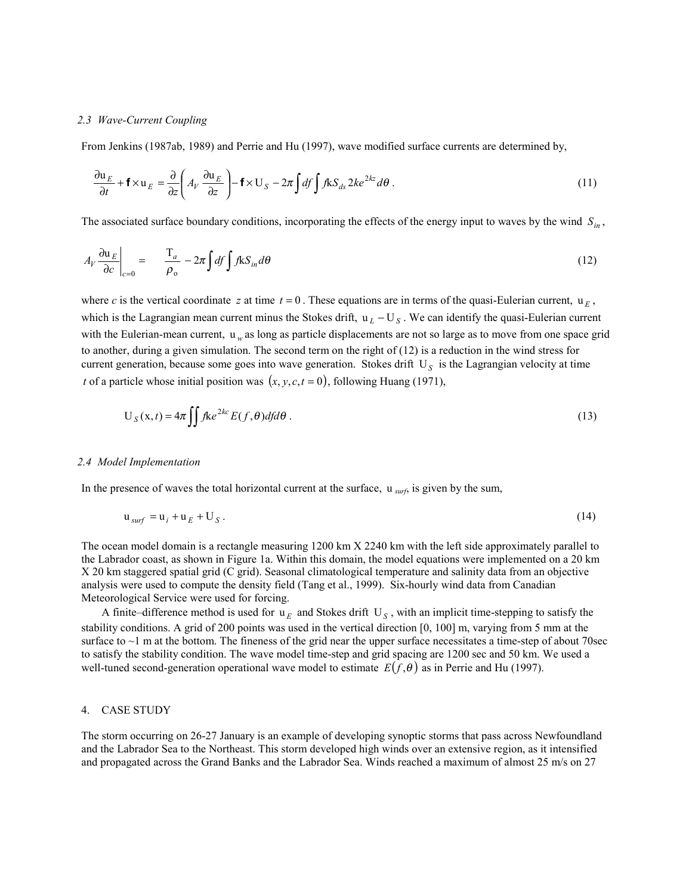#### *2.3 Wave-Current Coupling*

From Jenkins (1987ab, 1989) and Perrie and Hu (1997), wave modified surface currents are determined by,

$$
\frac{\partial \mathbf{u}_E}{\partial t} + \mathbf{f} \times \mathbf{u}_E = \frac{\partial}{\partial z} \left( A_V \frac{\partial \mathbf{u}_E}{\partial z} \right) - \mathbf{f} \times \mathbf{U}_S - 2\pi \int df \int f k S_{ds} 2k e^{2kz} d\theta \,. \tag{11}
$$

The associated surface boundary conditions, incorporating the effects of the energy input to waves by the wind  $S_{in}$ ,

$$
A_V \frac{\partial u_E}{\partial c}\Big|_{c=0} = \frac{T_a}{\rho_o} - 2\pi \int df \int f k S_{in} d\theta \tag{12}
$$

where *c* is the vertical coordinate *z* at time  $t = 0$ . These equations are in terms of the quasi-Eulerian current,  $\mathbf{u}_E$ , which is the Lagrangian mean current minus the Stokes drift,  $u_L - U_S$ . We can identify the quasi-Eulerian current with the Eulerian-mean current,  $u_w$  as long as particle displacements are not so large as to move from one space grid to another, during a given simulation. The second term on the right of  $(12)$  is a reduction in the wind stress for current generation, because some goes into wave generation. Stokes drift U<sub>S</sub> is the Lagrangian velocity at time *t* of a particle whose initial position was  $(x, y, c, t = 0)$ , following Huang (1971),

$$
U_S(x,t) = 4\pi \iint fke^{2kc} E(f,\theta) df d\theta.
$$
 (13)

#### *2.4 Model Implementation*

In the presence of waves the total horizontal current at the surface, u *surf*, is given by the sum,

$$
\mathbf{u}_{\text{surf}} = \mathbf{u}_i + \mathbf{u}_E + \mathbf{U}_S. \tag{14}
$$

The ocean model domain is a rectangle measuring 1200 km X 2240 km with the left side approximately parallel to the Labrador coast, as shown in Figure 1a. Within this domain, the model equations were implemented on a 20 km X 20 km staggered spatial grid (C grid). Seasonal climatological temperature and salinity data from an objective analysis were used to compute the density field (Tang et al., 1999). Six-hourly wind data from Canadian Meteorological Service were used for forcing.

A finite–difference method is used for  $u_E$  and Stokes drift  $U_S$ , with an implicit time-stepping to satisfy the stability conditions. A grid of 200 points was used in the vertical direction [0, 100] m, varying from 5 mm at the surface to  $\sim$ 1 m at the bottom. The fineness of the grid near the upper surface necessitates a time-step of about 70sec to satisfy the stability condition. The wave model time-step and grid spacing are 1200 sec and 50 km. We used a well-tuned second-generation operational wave model to estimate  $E(f, \theta)$  as in Perrie and Hu (1997).

### 4. CASE STUDY

The storm occurring on 26-27 January is an example of developing synoptic storms that pass across Newfoundland and the Labrador Sea to the Northeast. This storm developed high winds over an extensive region, as it intensified and propagated across the Grand Banks and the Labrador Sea. Winds reached a maximum of almost 25 m/s on 27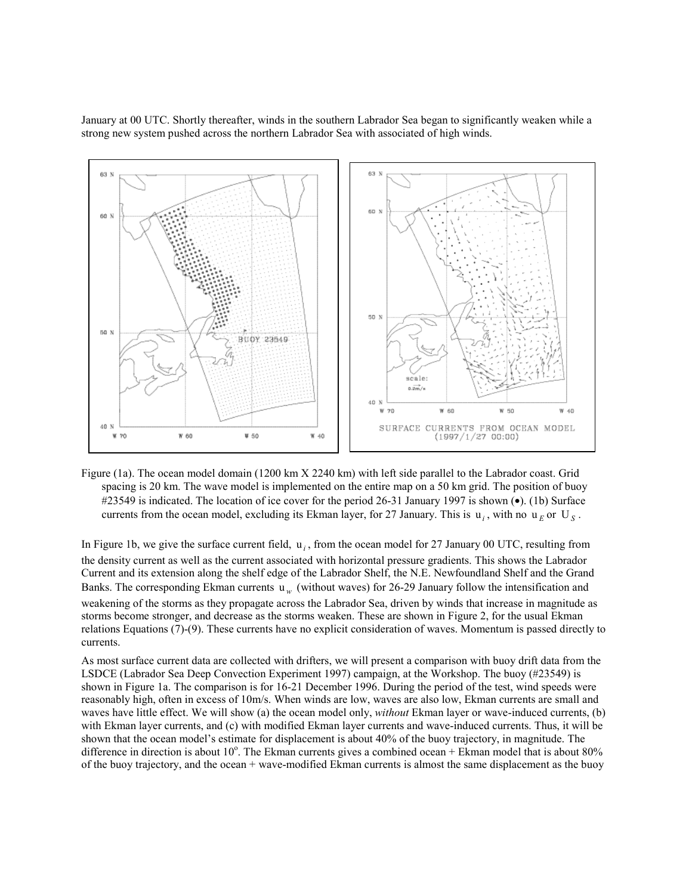January at 00 UTC. Shortly thereafter, winds in the southern Labrador Sea began to significantly weaken while a strong new system pushed across the northern Labrador Sea with associated of high winds.



Figure (1a). The ocean model domain (1200 km X 2240 km) with left side parallel to the Labrador coast. Grid spacing is 20 km. The wave model is implemented on the entire map on a 50 km grid. The position of buoy #23549 is indicated. The location of ice cover for the period 26-31 January 1997 is shown (•). (1b) Surface currents from the ocean model, excluding its Ekman layer, for 27 January. This is  $u_i$ , with no  $u_F$  or  $U_S$ .

In Figure 1b, we give the surface current field,  $u_i$ , from the ocean model for 27 January 00 UTC, resulting from the density current as well as the current associated with horizontal pressure gradients. This shows the Labrador Current and its extension along the shelf edge of the Labrador Shelf, the N.E. Newfoundland Shelf and the Grand Banks. The corresponding Ekman currents  $w_w$  (without waves) for 26-29 January follow the intensification and weakening of the storms as they propagate across the Labrador Sea, driven by winds that increase in magnitude as storms become stronger, and decrease as the storms weaken. These are shown in Figure 2, for the usual Ekman relations Equations (7)-(9). These currents have no explicit consideration of waves. Momentum is passed directly to currents.

As most surface current data are collected with drifters, we will present a comparison with buoy drift data from the LSDCE (Labrador Sea Deep Convection Experiment 1997) campaign, at the Workshop. The buoy (#23549) is shown in Figure 1a. The comparison is for 16-21 December 1996. During the period of the test, wind speeds were reasonably high, often in excess of 10m/s. When winds are low, waves are also low, Ekman currents are small and waves have little effect. We will show (a) the ocean model only, *without* Ekman layer or wave-induced currents, (b) with Ekman layer currents, and (c) with modified Ekman layer currents and wave-induced currents. Thus, it will be shown that the ocean model's estimate for displacement is about 40% of the buoy trajectory, in magnitude. The difference in direction is about 10 $^{\circ}$ . The Ekman currents gives a combined ocean + Ekman model that is about 80% of the buoy trajectory, and the ocean + wave-modified Ekman currents is almost the same displacement as the buoy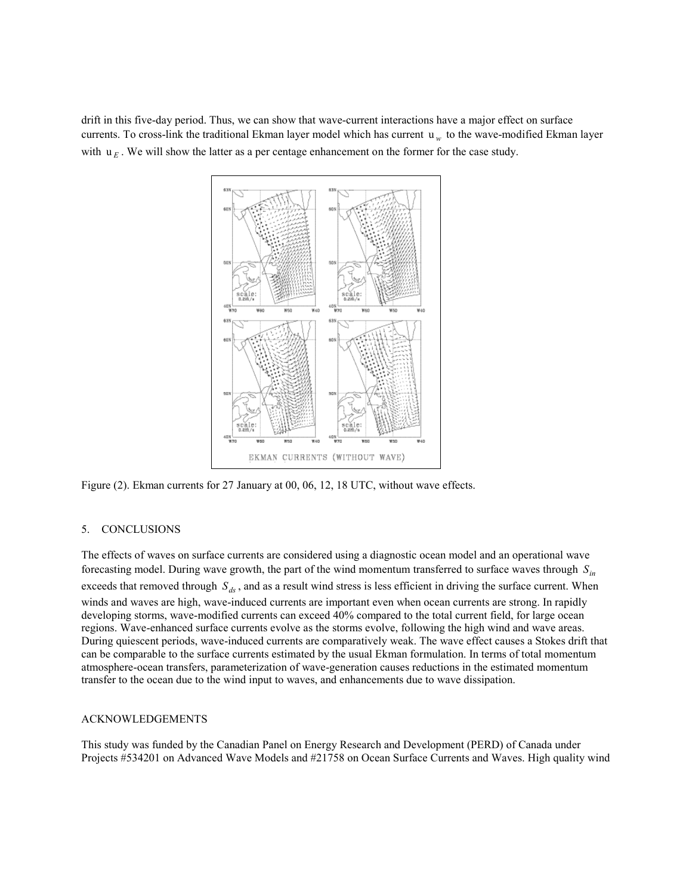drift in this five-day period. Thus, we can show that wave-current interactions have a major effect on surface currents. To cross-link the traditional Ekman layer model which has current *w*<sub>w</sub> to the wave-modified Ekman layer with  $\mathbf{u}_F$ . We will show the latter as a per centage enhancement on the former for the case study.



Figure (2). Ekman currents for 27 January at 00, 06, 12, 18 UTC, without wave effects.

## 5. CONCLUSIONS

The effects of waves on surface currents are considered using a diagnostic ocean model and an operational wave forecasting model. During wave growth, the part of the wind momentum transferred to surface waves through  $S_{in}$ exceeds that removed through  $S_{ds}$ , and as a result wind stress is less efficient in driving the surface current. When winds and waves are high, wave-induced currents are important even when ocean currents are strong. In rapidly developing storms, wave-modified currents can exceed 40% compared to the total current field, for large ocean regions. Wave-enhanced surface currents evolve as the storms evolve, following the high wind and wave areas. During quiescent periods, wave-induced currents are comparatively weak. The wave effect causes a Stokes drift that can be comparable to the surface currents estimated by the usual Ekman formulation. In terms of total momentum atmosphere-ocean transfers, parameterization of wave-generation causes reductions in the estimated momentum transfer to the ocean due to the wind input to waves, and enhancements due to wave dissipation.

### ACKNOWLEDGEMENTS

This study was funded by the Canadian Panel on Energy Research and Development (PERD) of Canada under Projects #534201 on Advanced Wave Models and #21758 on Ocean Surface Currents and Waves. High quality wind